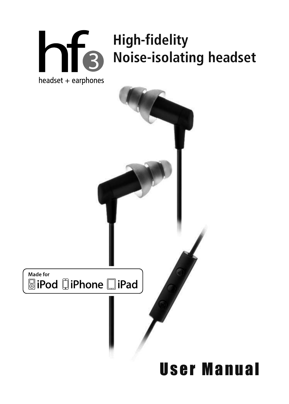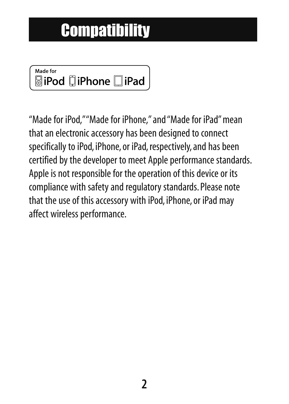## **Compatibility**

#### Made for **SiPod DiPhone DiPad**

"Made for iPod,""Made for iPhone," and "Made for iPad" mean that an electronic accessory has been designed to connect specifically to iPod, iPhone, or iPad, respectively, and has been certified by the developer to meet Apple performance standards. Apple is not responsible for the operation of this device or its compliance with safety and regulatory standards. Please note that the use of this accessory with iPod, iPhone, or iPad may affect wireless performance.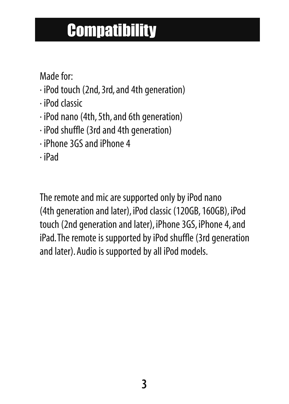## **Compatibility**

Made for:

- · iPod touch (2nd, 3rd, and 4th generation)
- · iPod classic
- · iPod nano (4th, 5th, and 6th generation)
- · iPod shuffle (3rd and 4th generation)
- · iPhone 3GS and iPhone 4
- · iPad

The remote and mic are supported only by iPod nano (4th generation and later), iPod classic (120GB, 160GB), iPod touch (2nd generation and later), iPhone 3GS, iPhone 4, and iPad.The remote is supported by iPod shuffle (3rd generation and later). Audio is supported by all iPod models.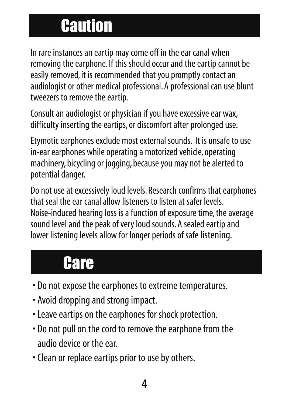## **Caution**

In rare instances an eartip may come off in the ear canal when removing the earphone. If this should occur and the eartip cannot be easily removed, it is recommended that you promptly contact an audiologist or other medical professional. A professional can use blunt tweezers to remove the eartip.

Consult an audiologist or physician if you have excessive ear wax, difficulty inserting the eartips, or discomfort after prolonged use.

Etymotic earphones exclude most external sounds. It is unsafe to use in-ear earphones while operating a motorized vehicle, operating machinery, bicycling or jogging, because you may not be alerted to potential danger.

Do not use at excessively loud levels. Research confirms that earphones that seal the ear canal allow listeners to listen at safer levels. Noise-induced hearing loss is a function of exposure time, the average sound level and the peak of very loud sounds. A sealed eartip and lower listening levels allow for longer periods of safelistening.

#### Care

- Do not expose the earphones to extreme temperatures.
- Avoid dropping and strong impact.
- Leave eartips on the earphones for shock protection.
- Do not pull on the cord to remove the earphone from the audio device or the ear.
- Clean or replace eartips prior to use by others.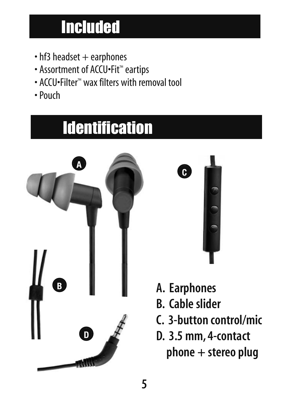## Included

- $\cdot$  hf3 headset  $+$  earphones
- Assortment of ACCU•Fit™ eartips
- ACCU•Filter™ wax filters with removal tool
- Pouch

## **Identification**





- **A. Earphones**
- **B. Cable slider**
- **C. 3-button control/mic**
- **D. 3.5 mm, 4-contact phone + stereo plug**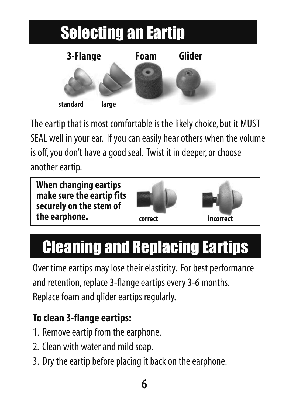

The eartip that is most comfortable is the likely choice, but it MUST SEAL well in your ear. If you can easily hear others when the volume is off, you don't have a good seal. Twist it in deeper, or choose another eartip.



# Cleaning and Replacing Eartips

Over time eartips may lose their elasticity. For best performance and retention, replace 3-flange eartips every 3-6 months. Replace foam and glider eartips regularly.

#### **To clean 3-flange eartips:**

- 1. Remove eartip from the earphone.
- 2. Clean with water and mild soap.
- 3. Dry the eartip before placing it back on the earphone.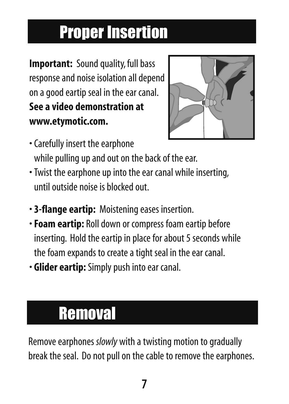## Proper Insertion

**Important:** Sound quality, full bass response and noise isolation all depend on a good eartip seal in the ear canal. **See a video demonstration at www.etymotic.com.**



- Carefully insert the earphone while pulling up and out on the back of the ear.
- Twist the earphone up into the ear canal while inserting, until outside noise is blocked out.
- **3-flange eartip:** Moistening eases insertion.
- •**Foam eartip:** Roll down or compress foam eartip before inserting. Hold the eartip in place for about 5 seconds while the foam expands to create a tight seal in the ear canal.
- **Glider eartip:**Simply push into ear canal.

#### **Removal**

Remove earphones *slowly* with a twisting motion to gradually break the seal. Do not pull on the cable to remove the earphones.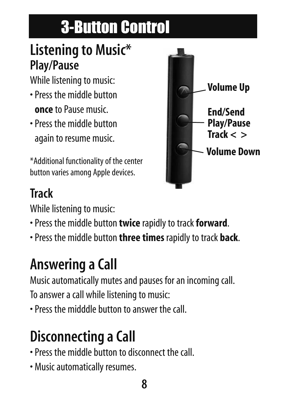# 3-Button Control

#### **Listening to Music\* Play/Pause**

While listening to music:

- Press the middle button **once** to Pause music.
- Press the middle button again to resume music.

\*Additional functionality of the center button varies among Apple devices.

#### **Track**

While listening to music:

- Press the middle button **twice** rapidly to track**forward**.
- Press the middle button **three times** rapidly to track **back**.

## **Answering a Call**

Music automatically mutes and pauses for an incoming call. To answer a call while listening to music:

• Press the midddle button to answer the call.

#### **Disconnecting a Call**

- Press the middle button to disconnect the call.
- Music automatically resumes.

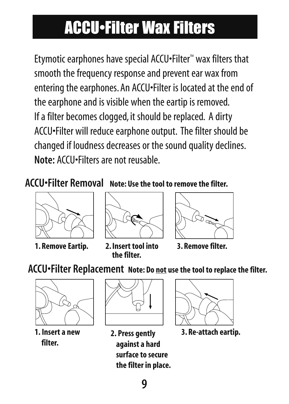## ACCU•Filter Wax Filters

Etymotic earphones have special ACCU•Filter™ wax filters that smooth the frequency response and prevent ear wax from entering the earphones. An ACCU•Filter is located at the end of the earphone and is visible when the eartip is removed. If a filter becomes clogged, it should be replaced. A dirty ACCU•Filter will reduce earphone output. The filter should be changed if loudness decreases or the sound quality declines. **Note:** ACCU•Filters are not reusable.

**ACCU•Filter Removal Note: Use the tool to remove the filter.**









**3. Remove filter.**





**1. Insert a new filter.**



**against a hard surface to secure the filter in place.**



**2. Press gently 3. Re-attach eartip.**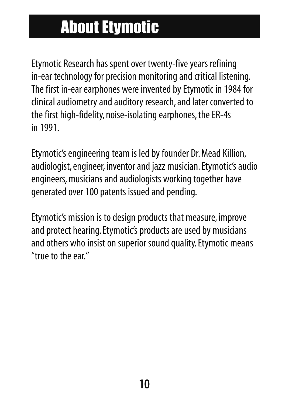## About Etymotic

Etymotic Research has spent over twenty-five years refining in-ear technology for precision monitoring and critical listening. The first in-ear earphones were invented by Etymotic in 1984 for clinical audiometry and auditory research, and later converted to the first high-fidelity, noise-isolating earphones, the ER-4s in 1991.

Etymotic's engineering team is led by founder Dr. Mead Killion, audiologist, engineer, inventor and jazz musician. Etymotic's audio engineers, musicians and audiologists working together have generated over 100 patents issued and pending.

Etymotic's mission is to design products that measure, improve and protect hearing. Etymotic's products are used by musicians and others who insist on superior sound quality. Etymotic means "true to the ear"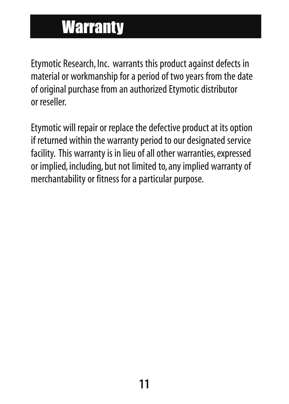### **Warranty**

Etymotic Research, Inc. warrants this product against defects in material or workmanship for a period of two years from the date of original purchase from an authorized Etymotic distributor or reseller.

Etymotic will repair or replace the defective product at its option if returned within the warranty period to our designated service facility. This warranty is in lieu of all other warranties, expressed or implied, including, but not limited to, any implied warranty of merchantability or fitness for a particular purpose.